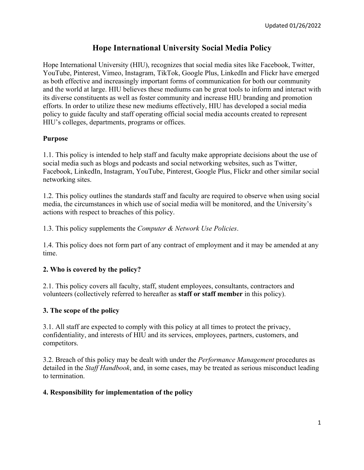# **Hope International University Social Media Policy**

Hope International University (HIU), recognizes that social media sites like Facebook, Twitter, YouTube, Pinterest, Vimeo, Instagram, TikTok, Google Plus, LinkedIn and Flickr have emerged as both effective and increasingly important forms of communication for both our community and the world at large. HIU believes these mediums can be great tools to inform and interact with its diverse constituents as well as foster community and increase HIU branding and promotion efforts. In order to utilize these new mediums effectively, HIU has developed a social media policy to guide faculty and staff operating official social media accounts created to represent HIU's colleges, departments, programs or offices.

## **Purpose**

1.1. This policy is intended to help staff and faculty make appropriate decisions about the use of social media such as blogs and podcasts and social networking websites, such as Twitter, Facebook, LinkedIn, Instagram, YouTube, Pinterest, Google Plus, Flickr and other similar social networking sites.

1.2. This policy outlines the standards staff and faculty are required to observe when using social media, the circumstances in which use of social media will be monitored, and the University's actions with respect to breaches of this policy.

1.3. This policy supplements the *Computer & Network Use Policies*.

1.4. This policy does not form part of any contract of employment and it may be amended at any time.

# **2. Who is covered by the policy?**

2.1. This policy covers all faculty, staff, student employees, consultants, contractors and volunteers (collectively referred to hereafter as **staff or staff member** in this policy).

## **3. The scope of the policy**

3.1. All staff are expected to comply with this policy at all times to protect the privacy, confidentiality, and interests of HIU and its services, employees, partners, customers, and competitors.

3.2. Breach of this policy may be dealt with under the *Performance Management* procedures as detailed in the *Staff Handbook*, and, in some cases, may be treated as serious misconduct leading to termination.

## **4. Responsibility for implementation of the policy**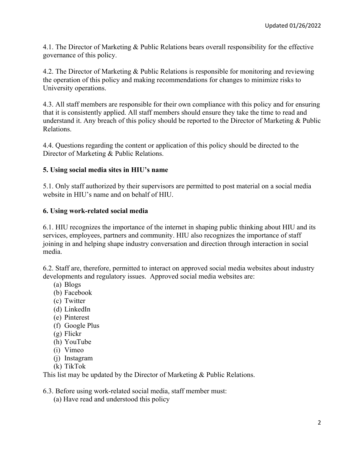4.1. The Director of Marketing & Public Relations bears overall responsibility for the effective governance of this policy.

4.2. The Director of Marketing & Public Relations is responsible for monitoring and reviewing the operation of this policy and making recommendations for changes to minimize risks to University operations.

4.3. All staff members are responsible for their own compliance with this policy and for ensuring that it is consistently applied. All staff members should ensure they take the time to read and understand it. Any breach of this policy should be reported to the Director of Marketing & Public Relations.

4.4. Questions regarding the content or application of this policy should be directed to the Director of Marketing & Public Relations.

## **5. Using social media sites in HIU's name**

5.1. Only staff authorized by their supervisors are permitted to post material on a social media website in HIU's name and on behalf of HIU.

## **6. Using work-related social media**

6.1. HIU recognizes the importance of the internet in shaping public thinking about HIU and its services, employees, partners and community. HIU also recognizes the importance of staff joining in and helping shape industry conversation and direction through interaction in social media.

6.2. Staff are, therefore, permitted to interact on approved social media websites about industry developments and regulatory issues. Approved social media websites are:

- (a) Blogs
- (b) Facebook
- (c) Twitter
- (d) LinkedIn
- (e) Pinterest
- (f) Google Plus
- (g) Flickr
- (h) YouTube
- (i) Vimeo
- (j) Instagram
- (k) TikTok

This list may be updated by the Director of Marketing & Public Relations.

6.3. Before using work-related social media, staff member must:

(a) Have read and understood this policy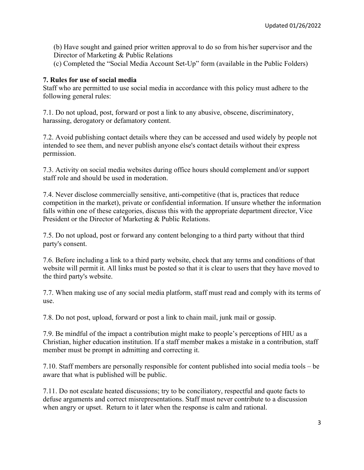(b) Have sought and gained prior written approval to do so from his/her supervisor and the Director of Marketing & Public Relations

(c) Completed the "Social Media Account Set-Up" form (available in the Public Folders)

#### **7. Rules for use of social media**

Staff who are permitted to use social media in accordance with this policy must adhere to the following general rules:

7.1. Do not upload, post, forward or post a link to any abusive, obscene, discriminatory, harassing, derogatory or defamatory content.

7.2. Avoid publishing contact details where they can be accessed and used widely by people not intended to see them, and never publish anyone else's contact details without their express permission.

7.3. Activity on social media websites during office hours should complement and/or support staff role and should be used in moderation.

7.4. Never disclose commercially sensitive, anti-competitive (that is, practices that reduce competition in the market), private or confidential information. If unsure whether the information falls within one of these categories, discuss this with the appropriate department director, Vice President or the Director of Marketing & Public Relations.

7.5. Do not upload, post or forward any content belonging to a third party without that third party's consent.

7.6. Before including a link to a third party website, check that any terms and conditions of that website will permit it. All links must be posted so that it is clear to users that they have moved to the third party's website.

7.7. When making use of any social media platform, staff must read and comply with its terms of use.

7.8. Do not post, upload, forward or post a link to chain mail, junk mail or gossip.

7.9. Be mindful of the impact a contribution might make to people's perceptions of HIU as a Christian, higher education institution. If a staff member makes a mistake in a contribution, staff member must be prompt in admitting and correcting it.

7.10. Staff members are personally responsible for content published into social media tools – be aware that what is published will be public.

7.11. Do not escalate heated discussions; try to be conciliatory, respectful and quote facts to defuse arguments and correct misrepresentations. Staff must never contribute to a discussion when angry or upset. Return to it later when the response is calm and rational.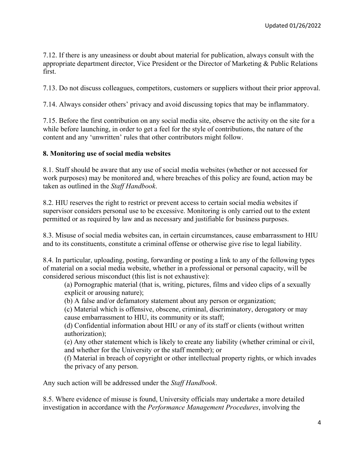7.12. If there is any uneasiness or doubt about material for publication, always consult with the appropriate department director, Vice President or the Director of Marketing & Public Relations first.

7.13. Do not discuss colleagues, competitors, customers or suppliers without their prior approval.

7.14. Always consider others' privacy and avoid discussing topics that may be inflammatory.

7.15. Before the first contribution on any social media site, observe the activity on the site for a while before launching, in order to get a feel for the style of contributions, the nature of the content and any 'unwritten' rules that other contributors might follow.

#### **8. Monitoring use of social media websites**

8.1. Staff should be aware that any use of social media websites (whether or not accessed for work purposes) may be monitored and, where breaches of this policy are found, action may be taken as outlined in the *Staff Handbook*.

8.2. HIU reserves the right to restrict or prevent access to certain social media websites if supervisor considers personal use to be excessive. Monitoring is only carried out to the extent permitted or as required by law and as necessary and justifiable for business purposes.

8.3. Misuse of social media websites can, in certain circumstances, cause embarrassment to HIU and to its constituents, constitute a criminal offense or otherwise give rise to legal liability.

8.4. In particular, uploading, posting, forwarding or posting a link to any of the following types of material on a social media website, whether in a professional or personal capacity, will be considered serious misconduct (this list is not exhaustive):

(a) Pornographic material (that is, writing, pictures, films and video clips of a sexually explicit or arousing nature);

(b) A false and/or defamatory statement about any person or organization;

(c) Material which is offensive, obscene, criminal, discriminatory, derogatory or may cause embarrassment to HIU, its community or its staff;

(d) Confidential information about HIU or any of its staff or clients (without written authorization);

(e) Any other statement which is likely to create any liability (whether criminal or civil, and whether for the University or the staff member); or

(f) Material in breach of copyright or other intellectual property rights, or which invades the privacy of any person.

Any such action will be addressed under the *Staff Handbook*.

8.5. Where evidence of misuse is found, University officials may undertake a more detailed investigation in accordance with the *Performance Management Procedures*, involving the